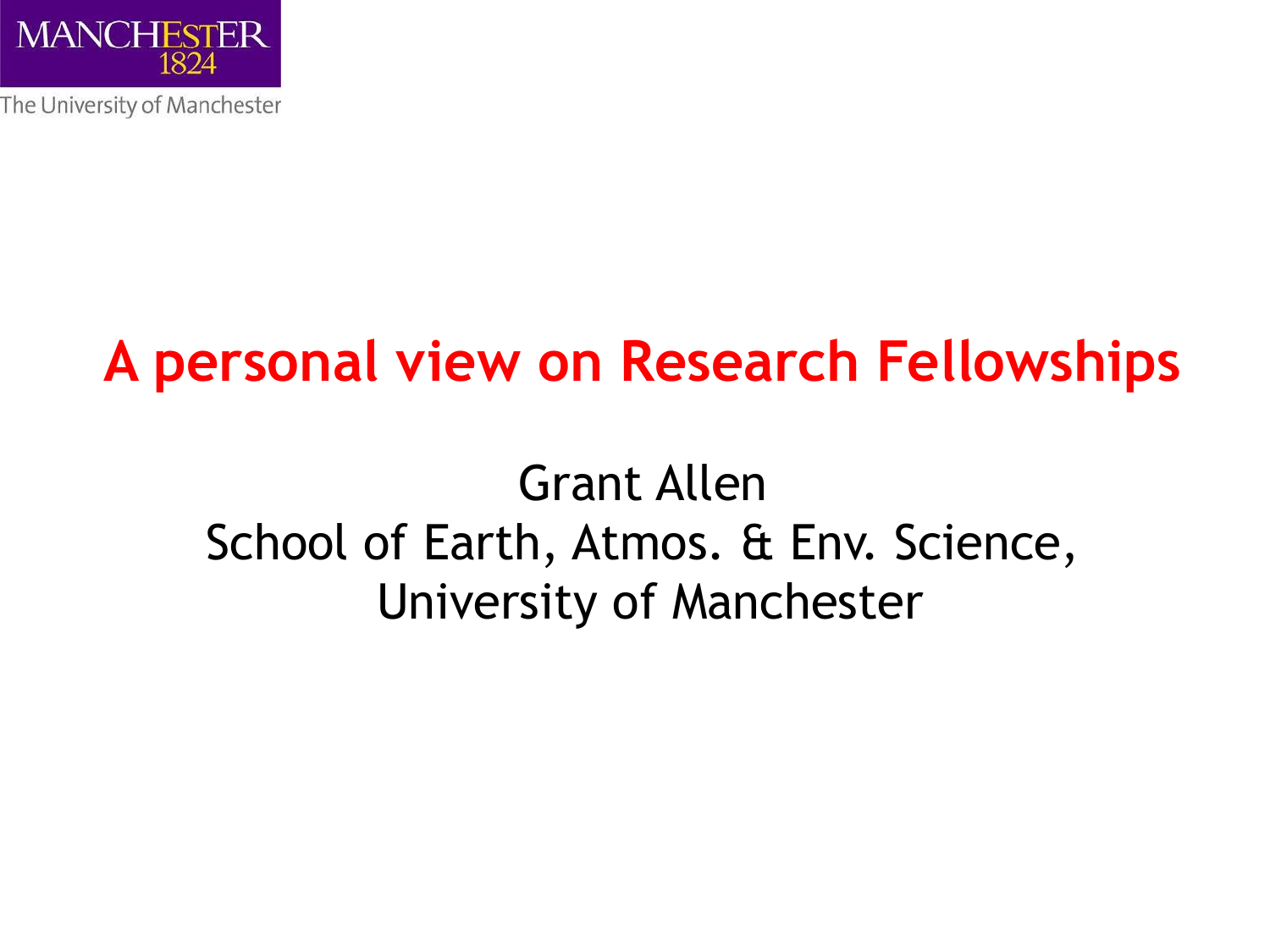

### **A personal view on Research Fellowships**

#### Grant Allen School of Earth, Atmos. & Env. Science, University of Manchester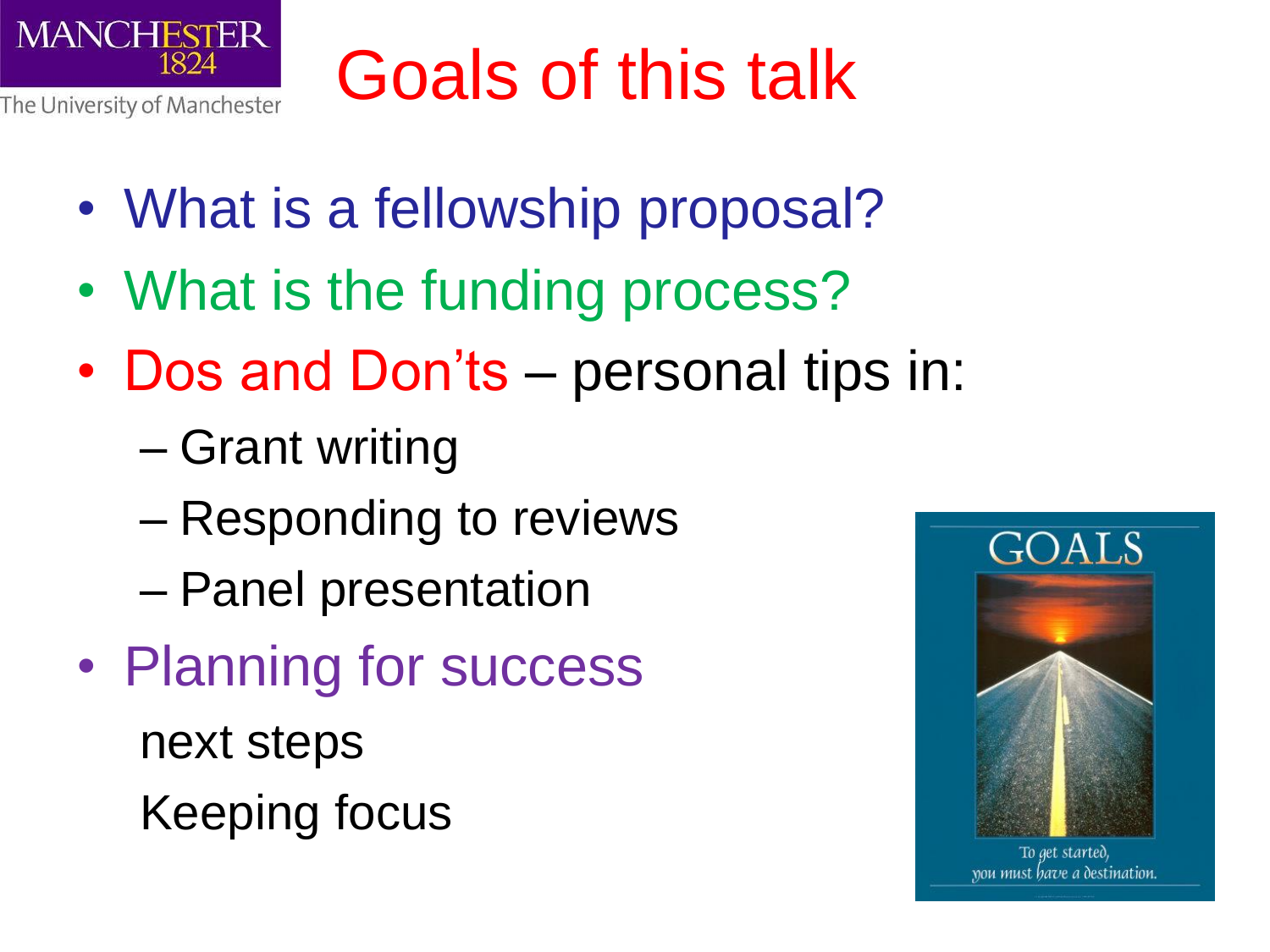

## Goals of this talk

- What is a fellowship proposal?
- What is the funding process?
- Dos and Don'ts personal tips in:
	- Grant writing
	- Responding to reviews
	- Panel presentation
- Planning for success next steps Keeping focus



To get started, you must have a destination.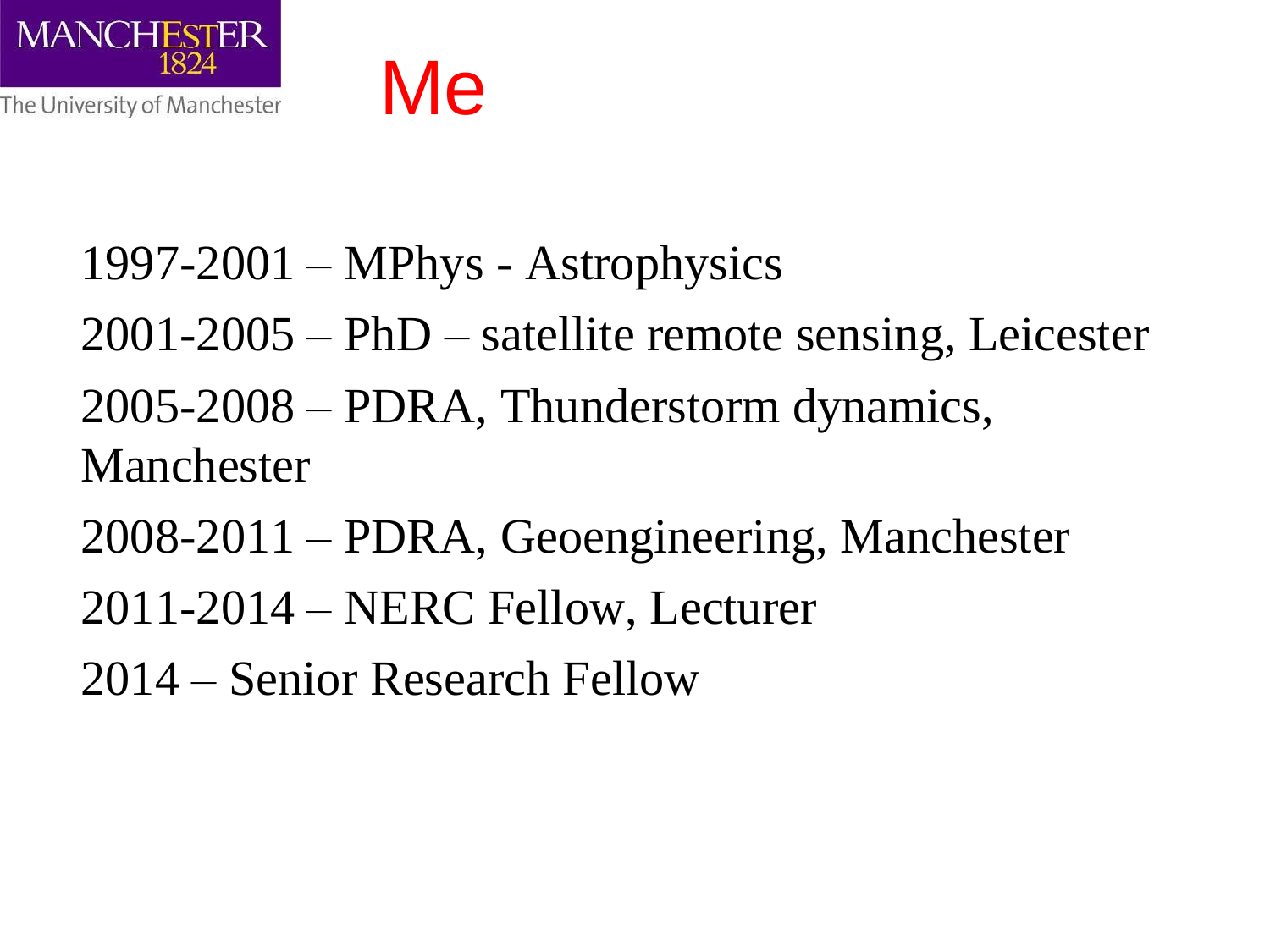

#### 1997-2001 – MPhys - Astrophysics

- 2001-2005 PhD satellite remote sensing, Leicester
- 2005-2008 PDRA, Thunderstorm dynamics, Manchester
- 2008-2011 PDRA, Geoengineering, Manchester
- 2011-2014 NERC Fellow, Lecturer
- 2014 Senior Research Fellow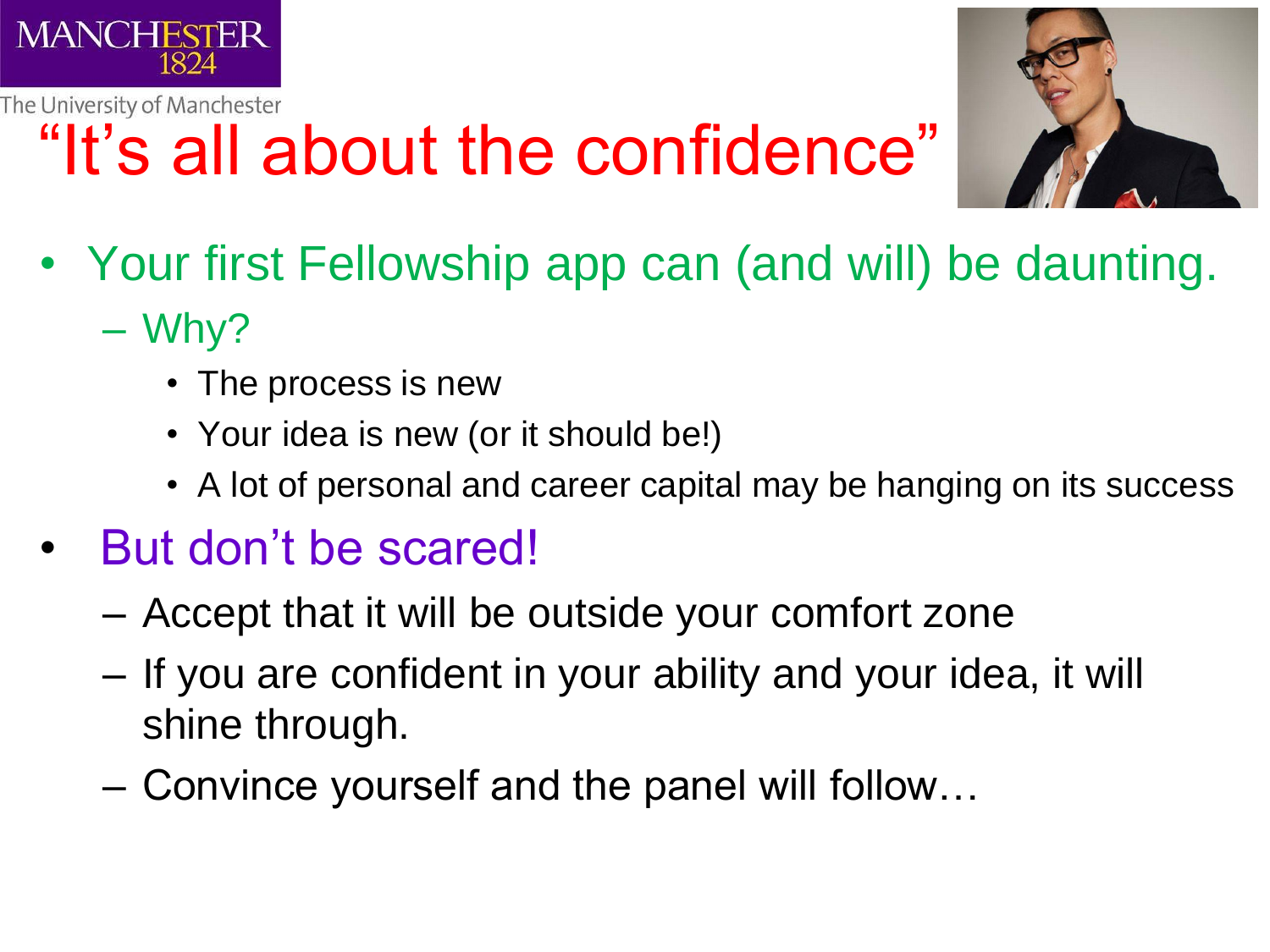

## "It's all about the confidence"



- Your first Fellowship app can (and will) be daunting.
	- Why?
		- The process is new
		- Your idea is new (or it should be!)
		- A lot of personal and career capital may be hanging on its success
- But don't be scared!
	- Accept that it will be outside your comfort zone
	- If you are confident in your ability and your idea, it will shine through.
	- Convince yourself and the panel will follow…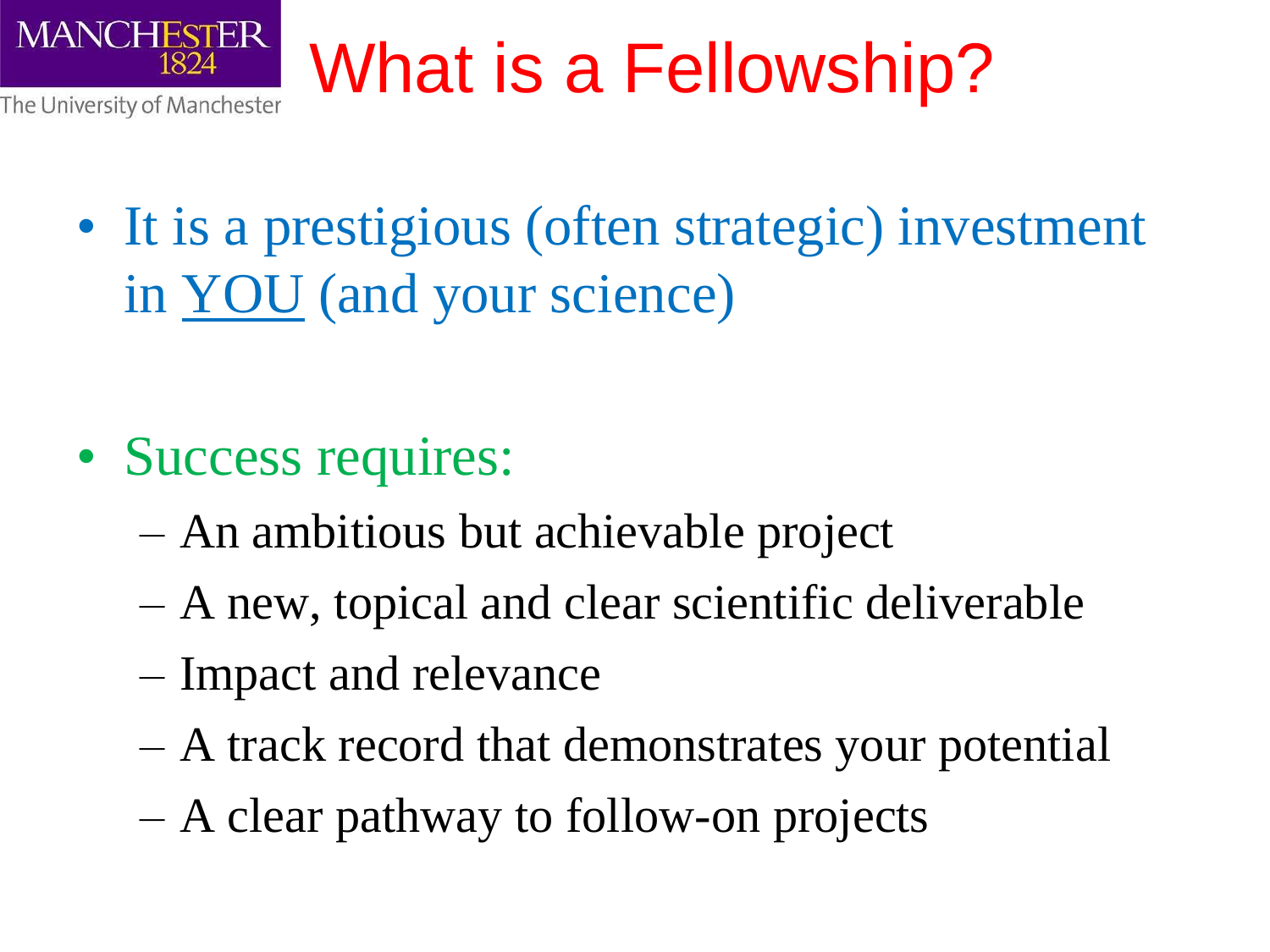

## What is a Fellowship?

• It is a prestigious (often strategic) investment in YOU (and your science)

- Success requires:
	- An ambitious but achievable project
	- A new, topical and clear scientific deliverable
	- Impact and relevance
	- A track record that demonstrates your potential
	- A clear pathway to follow-on projects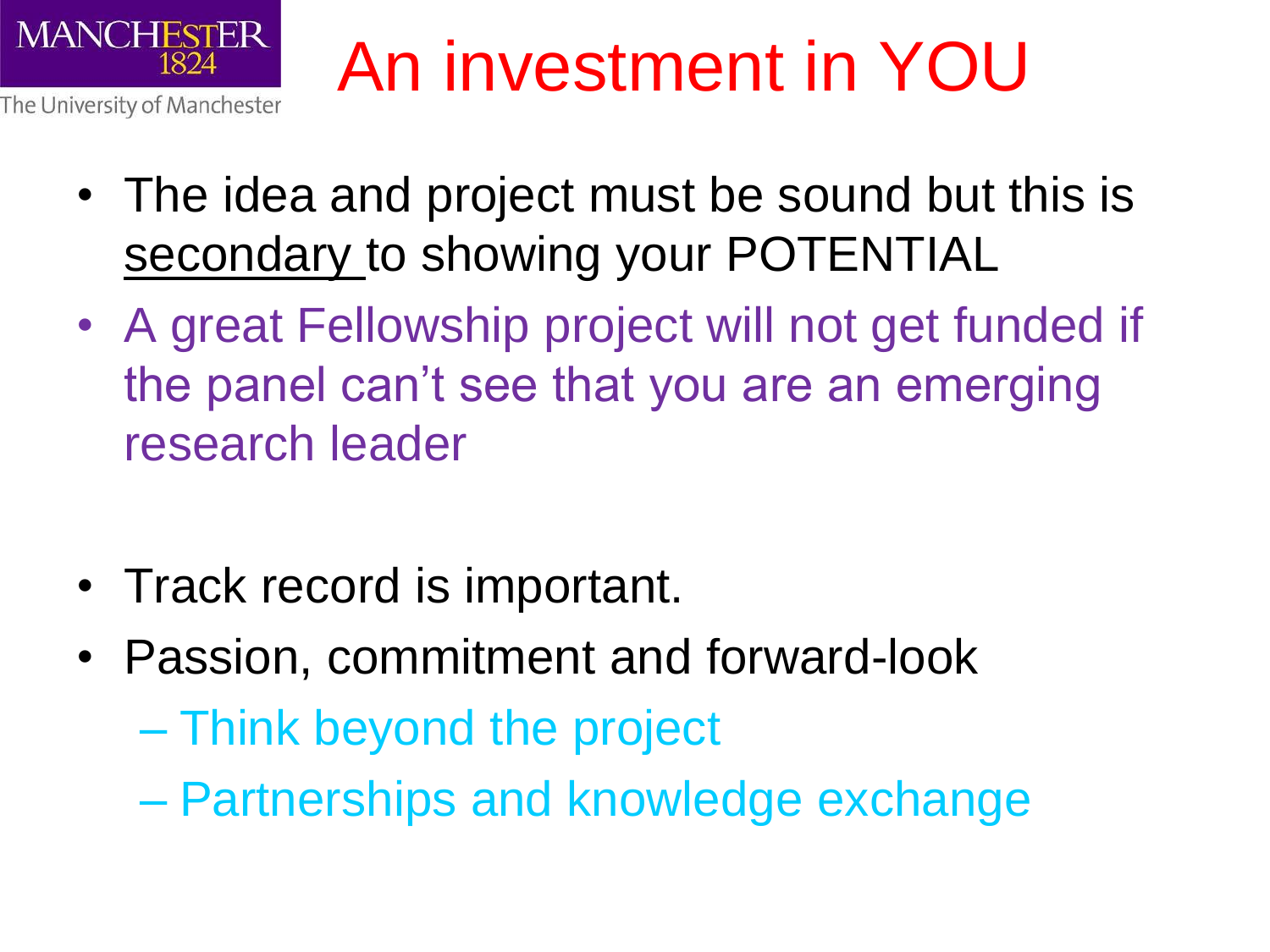

## An investment in YOU

- The idea and project must be sound but this is secondary to showing your POTENTIAL
- A great Fellowship project will not get funded if the panel can't see that you are an emerging research leader
- Track record is important.
- Passion, commitment and forward-look
	- Think beyond the project
	- Partnerships and knowledge exchange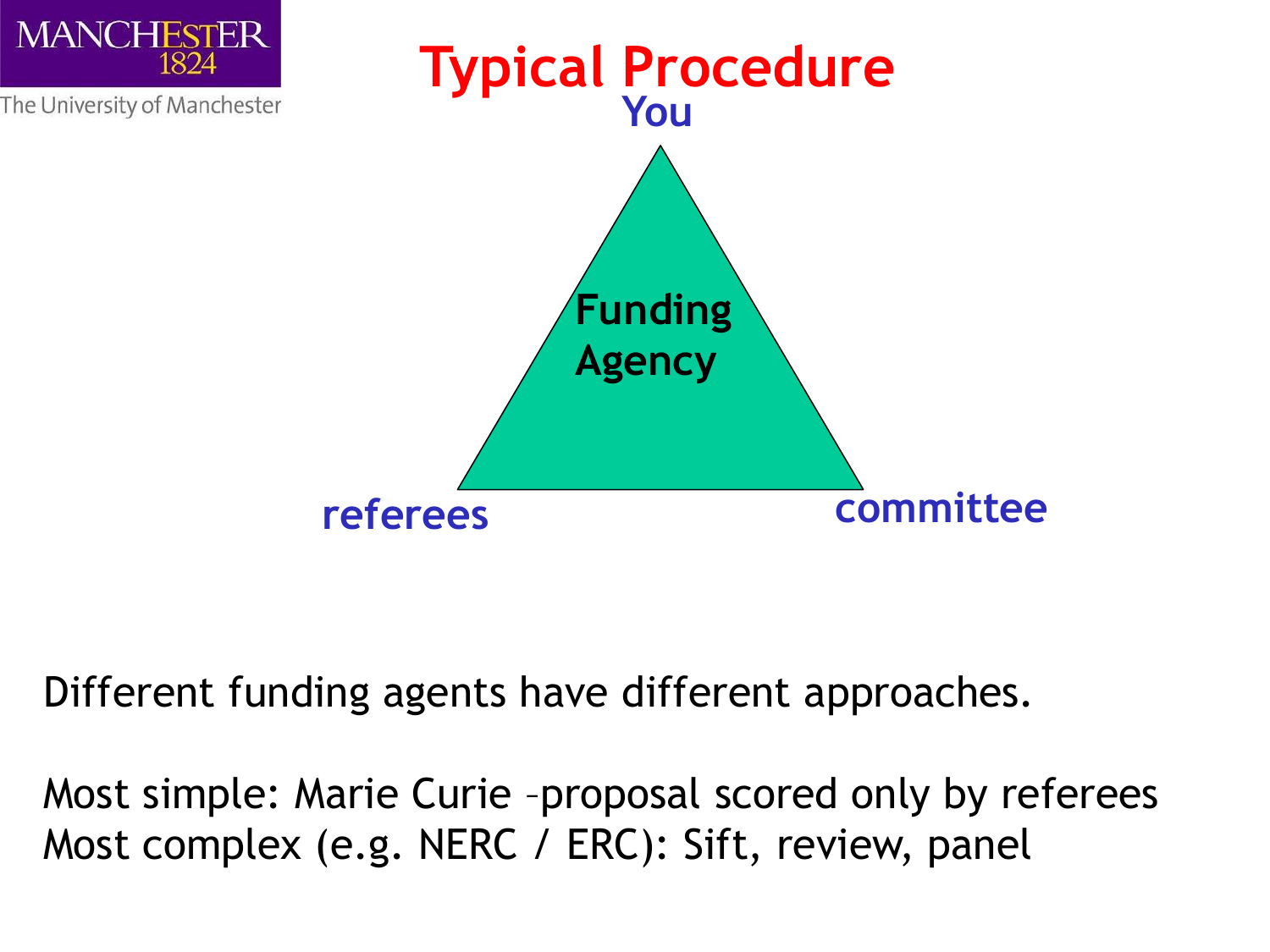

Different funding agents have different approaches.

Most simple: Marie Curie –proposal scored only by referees Most complex (e.g. NERC / ERC): Sift, review, panel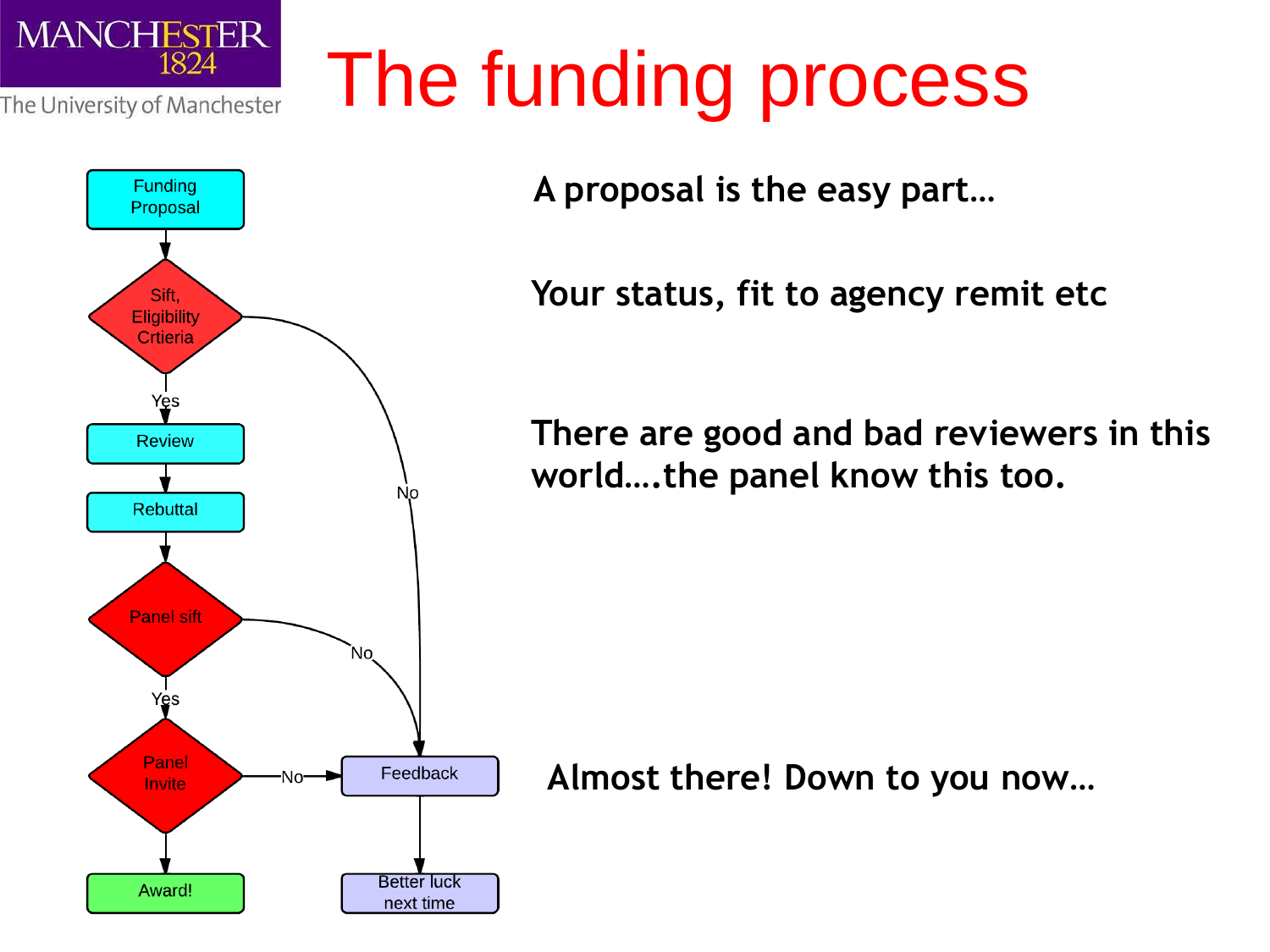



The funding process

**A proposal is the easy part…**

**Your status, fit to agency remit etc** 

**There are good and bad reviewers in this world….the panel know this too.** 

**Almost there! Down to you now…**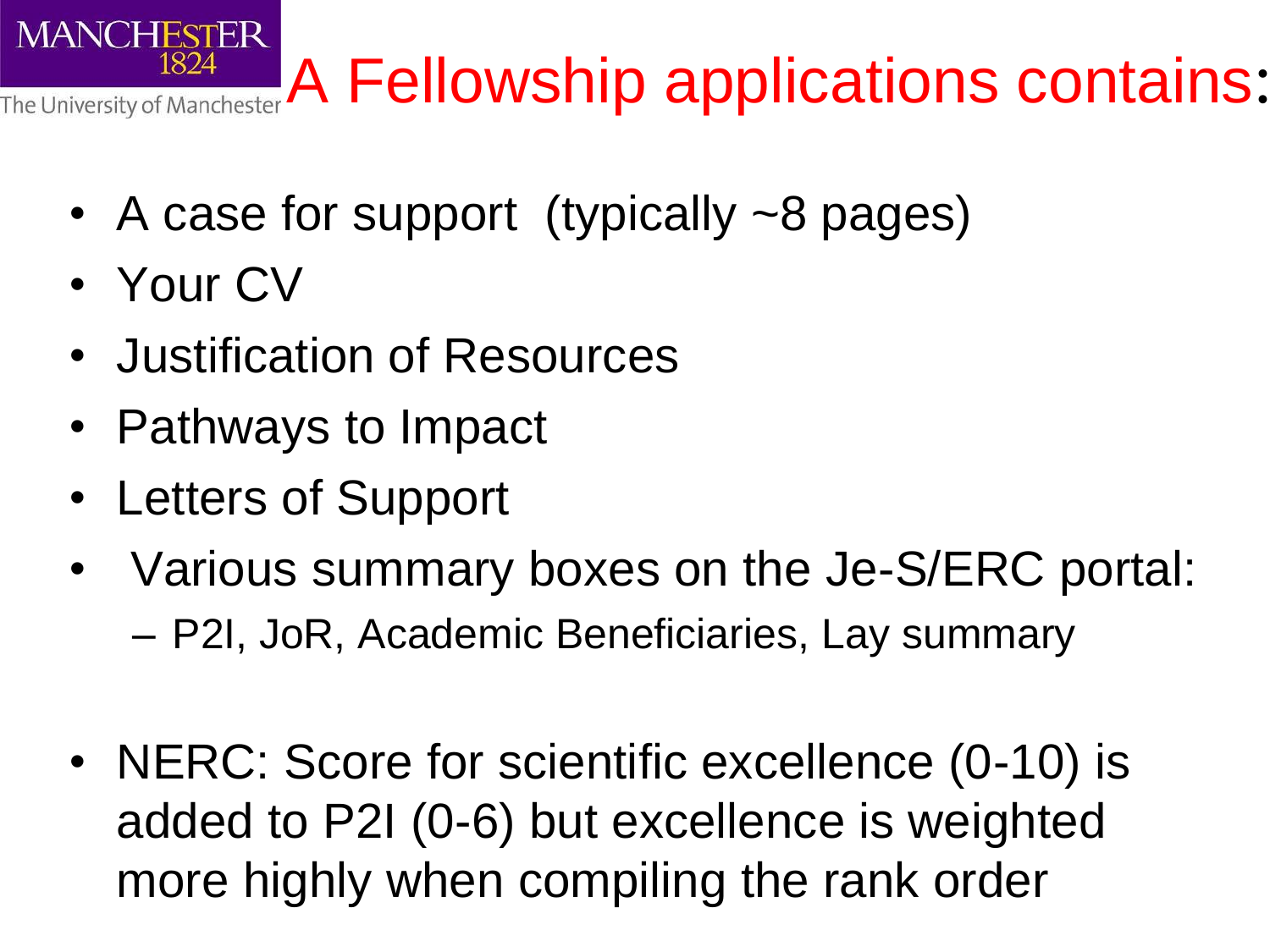**The University of Manchester A Fellowship applications contains:** 

- A case for support (typically ~8 pages)
- Your CV
- Justification of Resources
- Pathways to Impact
- Letters of Support
- Various summary boxes on the Je-S/ERC portal: – P2I, JoR, Academic Beneficiaries, Lay summary
- NERC: Score for scientific excellence (0-10) is added to P2I (0-6) but excellence is weighted more highly when compiling the rank order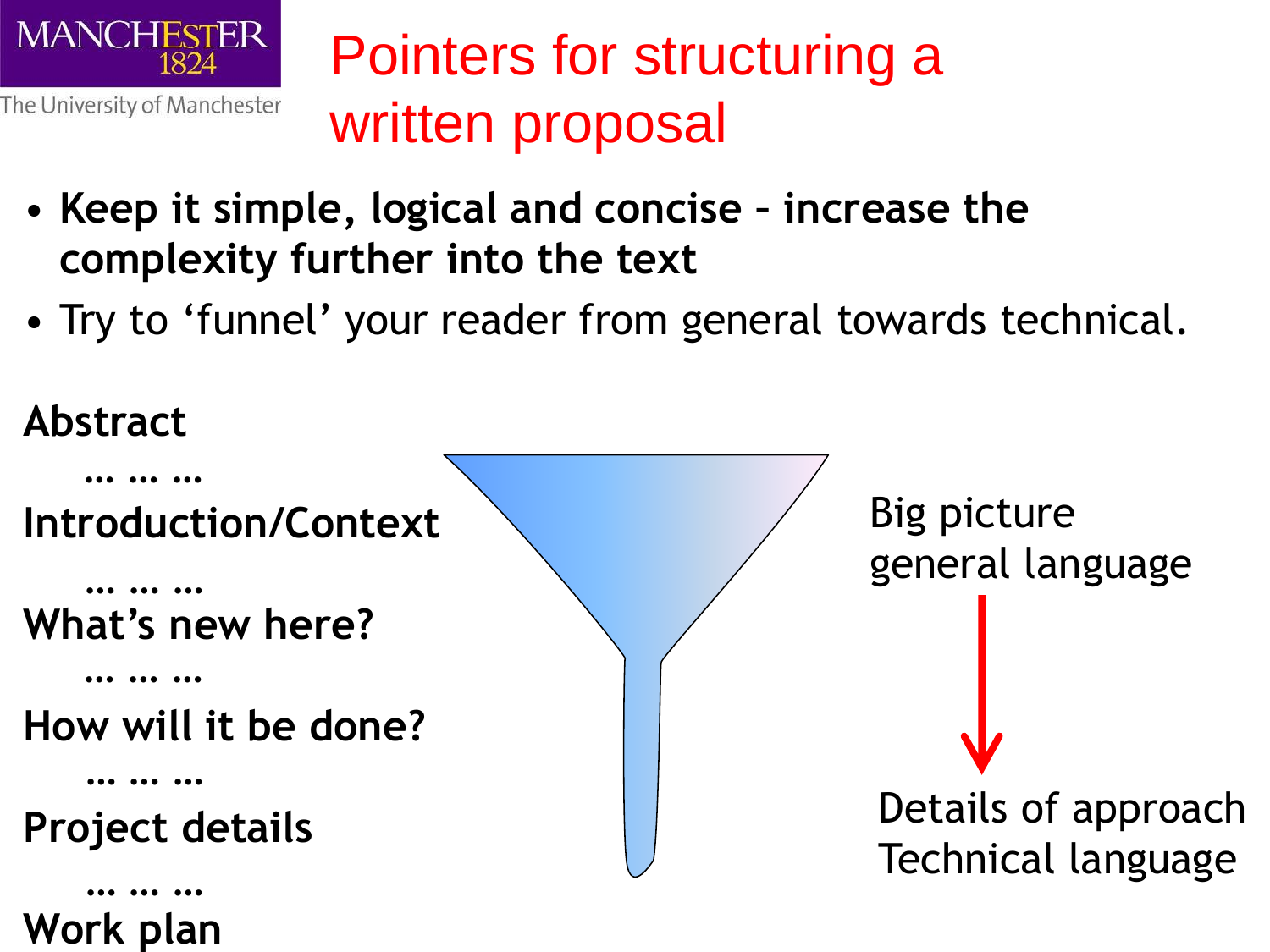

### Pointers for structuring a written proposal

- **Keep it simple, logical and concise – increase the complexity further into the text**
- Try to 'funnel' your reader from general towards technical.



**Work plan**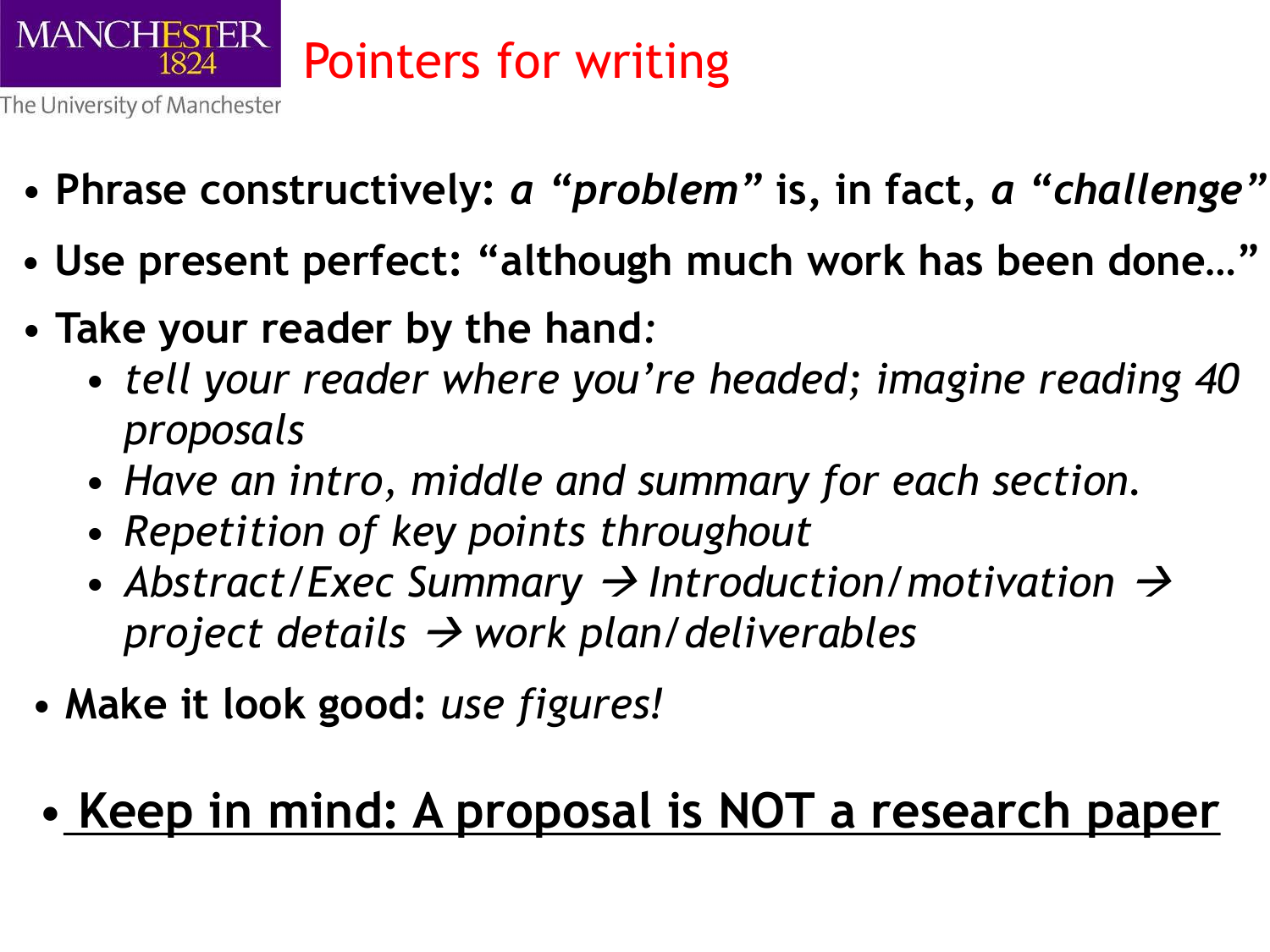

- **Phrase constructively:** *a "problem"* **is, in fact,** *a "challenge"*
- **Use present perfect: "although much work has been done…"**
- **Take your reader by the hand***:* 
	- *tell your reader where you're headed; imagine reading 40 proposals*
	- *Have an intro, middle and summary for each section.*
	- *Repetition of key points throughout*
	- Abstract/Exec Summary  $\rightarrow$  Introduction/motivation  $\rightarrow$ *project details work plan/deliverables*
- **Make it look good:** *use figures!*
- **Keep in mind: A proposal is NOT a research paper**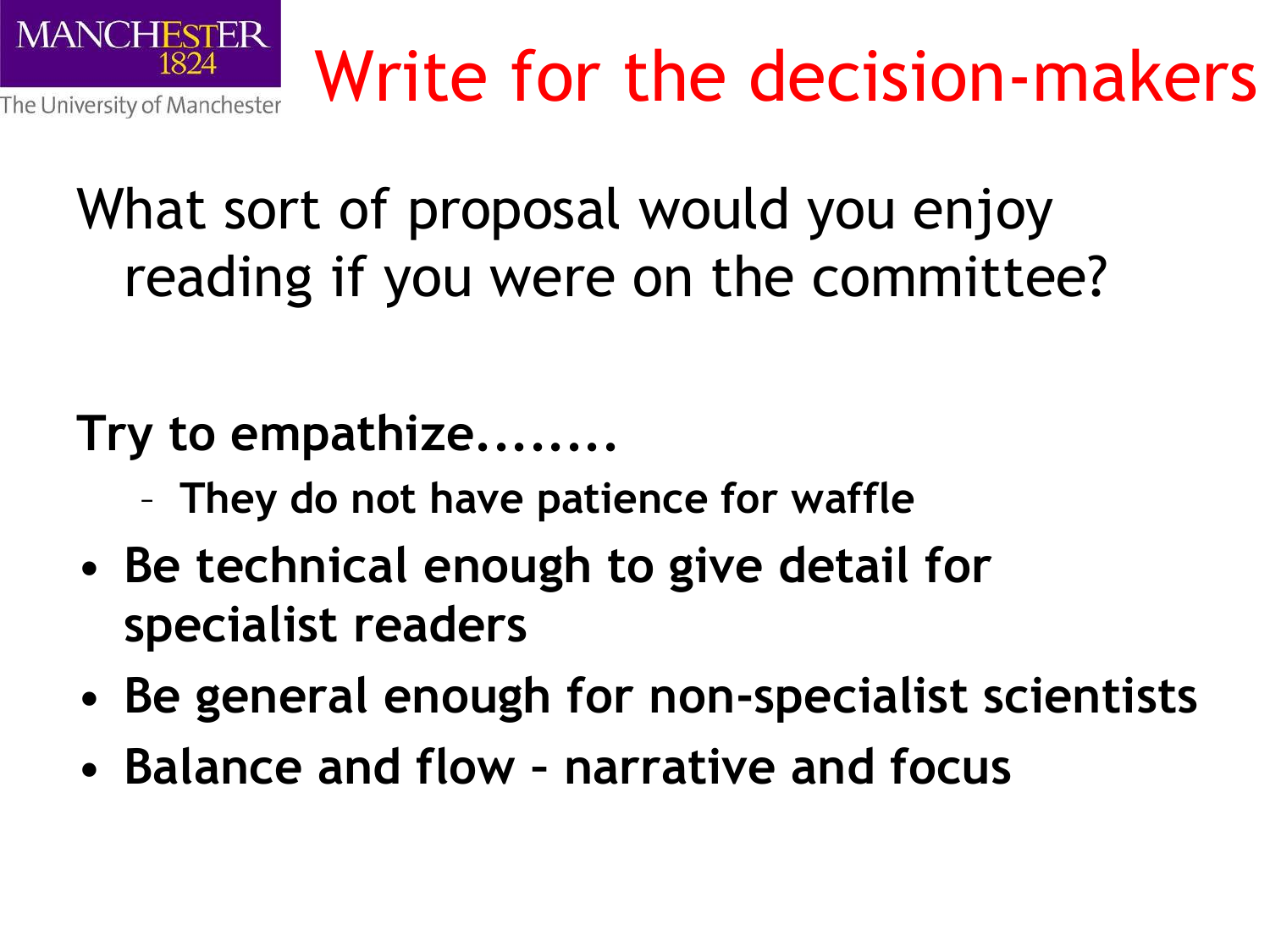

### What sort of proposal would you enjoy reading if you were on the committee?

#### **Try to empathize........**

- **They do not have patience for waffle**
- **Be technical enough to give detail for specialist readers**
- **Be general enough for non-specialist scientists**
- **Balance and flow – narrative and focus**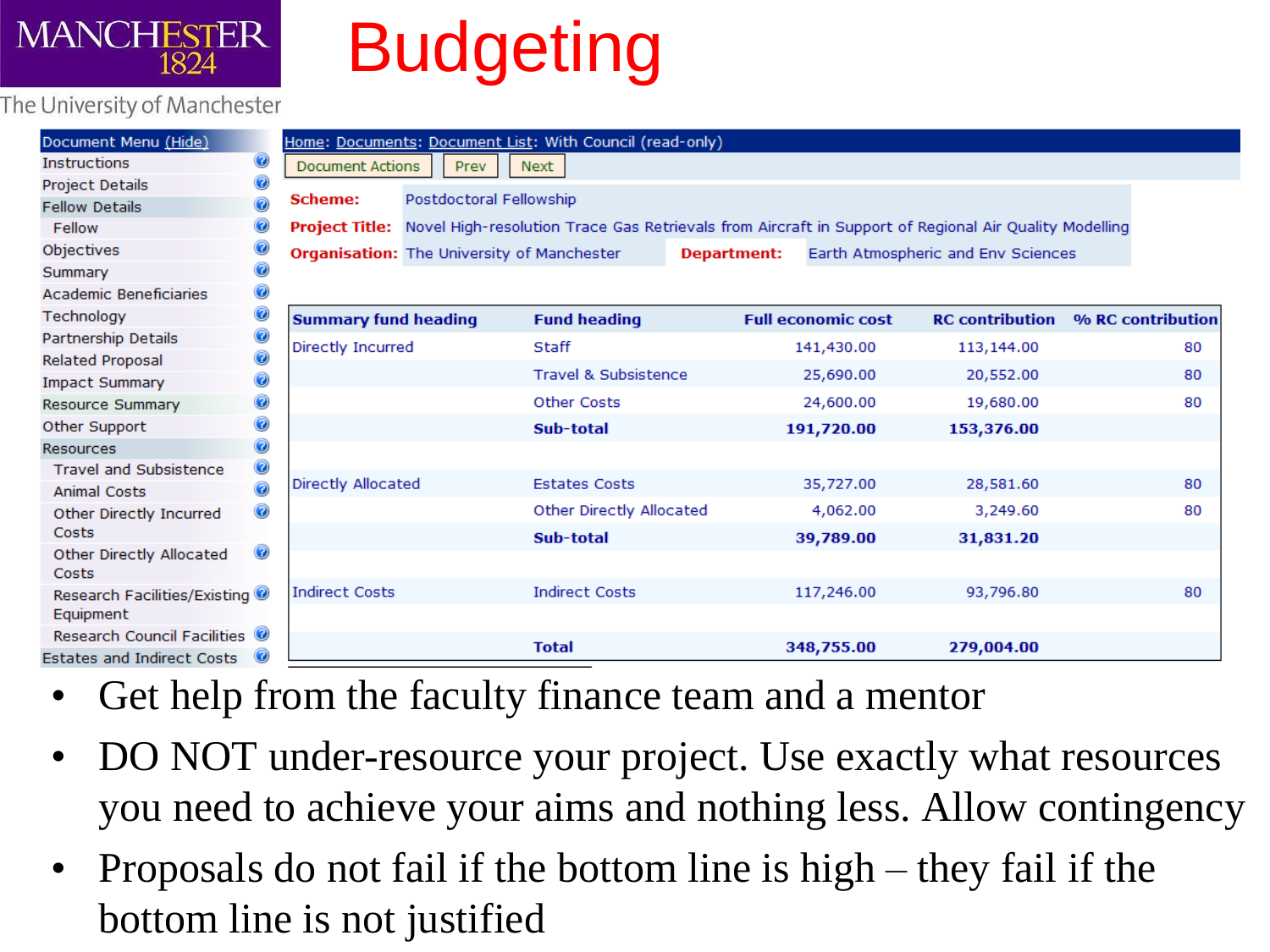

## **Budgeting**

#### The University of Manchester

| Document Menu (Hide)                           | Home: Documents: Document List: With Council (read-only)                                                             |                                 |                           |                                    |                   |  |  |
|------------------------------------------------|----------------------------------------------------------------------------------------------------------------------|---------------------------------|---------------------------|------------------------------------|-------------------|--|--|
| 0<br><b>Instructions</b>                       | <b>Document Actions</b><br>Prev                                                                                      | <b>Next</b>                     |                           |                                    |                   |  |  |
| 0<br>Project Details                           |                                                                                                                      |                                 |                           |                                    |                   |  |  |
| 0<br><b>Fellow Details</b>                     | Postdoctoral Fellowship<br><b>Scheme:</b>                                                                            |                                 |                           |                                    |                   |  |  |
| 0<br>Fellow                                    | Project Title: Novel High-resolution Trace Gas Retrievals from Aircraft in Support of Regional Air Quality Modelling |                                 |                           |                                    |                   |  |  |
| 0<br>Objectives                                | <b>Organisation:</b> The University of Manchester                                                                    |                                 | <b>Department:</b>        | Earth Atmospheric and Env Sciences |                   |  |  |
| 0<br>Summary                                   |                                                                                                                      |                                 |                           |                                    |                   |  |  |
| 0<br><b>Academic Beneficiaries</b>             |                                                                                                                      |                                 |                           |                                    |                   |  |  |
| 0<br>Technology                                | <b>Summary fund heading</b>                                                                                          | <b>Fund heading</b>             | <b>Full economic cost</b> | <b>RC</b> contribution             | % RC contribution |  |  |
| 0<br>Partnership Details                       | Directly Incurred                                                                                                    | Staff                           | 141,430.00                | 113,144.00                         | 80                |  |  |
| 0<br><b>Related Proposal</b>                   |                                                                                                                      |                                 |                           |                                    |                   |  |  |
| 0<br><b>Impact Summary</b>                     |                                                                                                                      | <b>Travel &amp; Subsistence</b> | 25,690.00                 | 20,552.00                          | 80                |  |  |
| 0<br><b>Resource Summary</b>                   |                                                                                                                      | <b>Other Costs</b>              | 24,600.00                 | 19,680.00                          | 80                |  |  |
| 0<br>Other Support                             |                                                                                                                      | Sub-total                       | 191,720.00                | 153,376.00                         |                   |  |  |
| 0<br><b>Resources</b>                          |                                                                                                                      |                                 |                           |                                    |                   |  |  |
| 0<br><b>Travel and Subsistence</b>             |                                                                                                                      | <b>Estates Costs</b>            |                           |                                    |                   |  |  |
| 0<br><b>Animal Costs</b>                       | Directly Allocated                                                                                                   |                                 | 35,727.00                 | 28,581.60                          | 80                |  |  |
| 0<br>Other Directly Incurred                   |                                                                                                                      | Other Directly Allocated        | 4,062.00                  | 3,249.60                           | 80                |  |  |
| Costs                                          |                                                                                                                      | Sub-total                       | 39,789.00                 | 31,831.20                          |                   |  |  |
| 0<br>Other Directly Allocated<br>Costs         |                                                                                                                      |                                 |                           |                                    |                   |  |  |
| Research Facilities/Existing                   | <b>Indirect Costs</b>                                                                                                | <b>Indirect Costs</b>           | 117,246.00                | 93,796.80                          | 80                |  |  |
| Equipment                                      |                                                                                                                      |                                 |                           |                                    |                   |  |  |
| Research Council Facilities <sup>0</sup>       |                                                                                                                      | <b>Total</b>                    |                           |                                    |                   |  |  |
| <b>Estates and Indirect Costs</b><br>$\bullet$ |                                                                                                                      |                                 | 348,755.00                | 279,004.00                         |                   |  |  |

- Get help from the faculty finance team and a mentor
- DO NOT under-resource your project. Use exactly what resources you need to achieve your aims and nothing less. Allow contingency
- Proposals do not fail if the bottom line is high they fail if the bottom line is not justified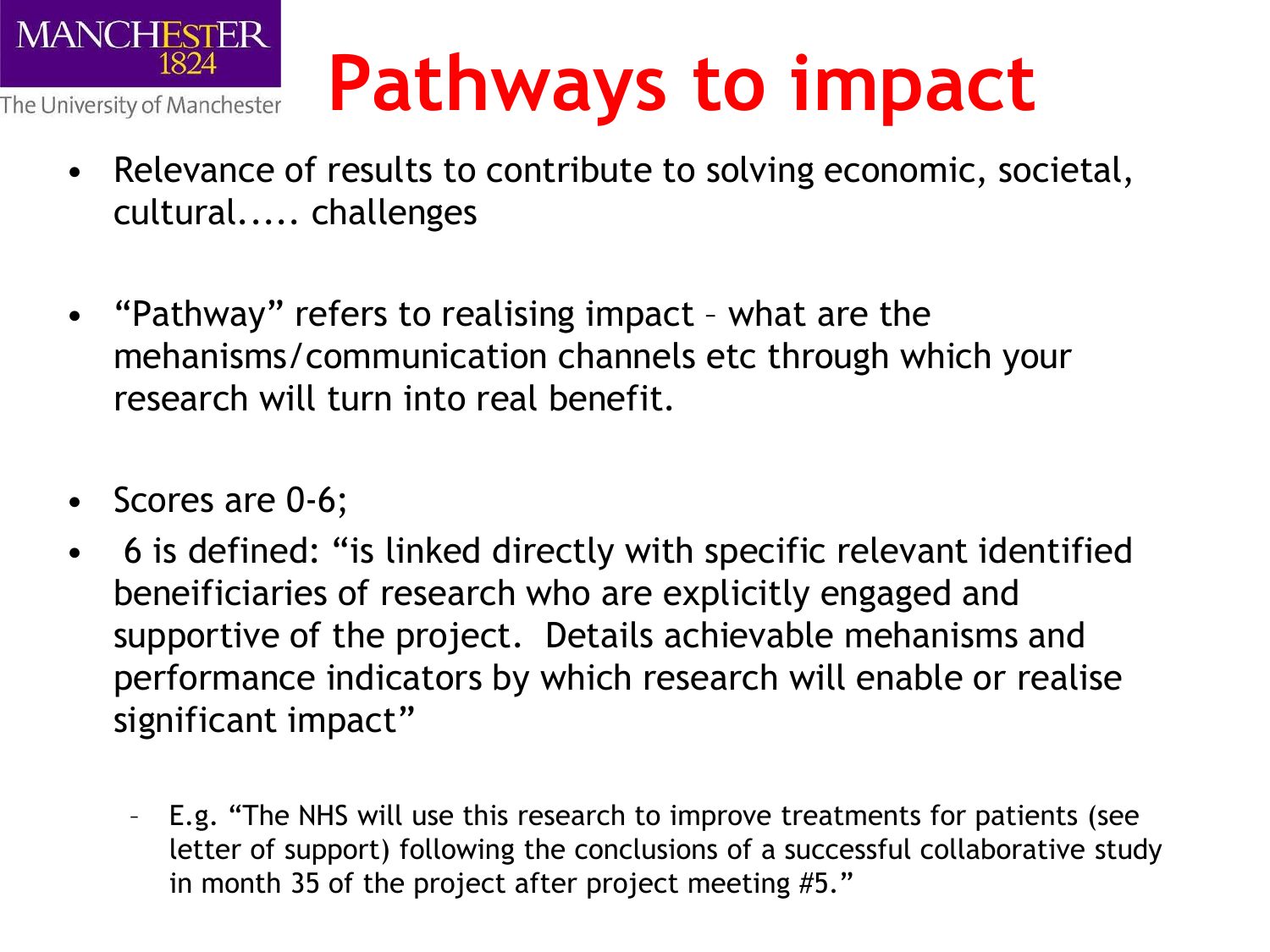

## **Pathways to impact**

- Relevance of results to contribute to solving economic, societal, cultural..... challenges
- "Pathway" refers to realising impact what are the mehanisms/communication channels etc through which your research will turn into real benefit.
- Scores are 0-6;
- 6 is defined: "is linked directly with specific relevant identified beneificiaries of research who are explicitly engaged and supportive of the project. Details achievable mehanisms and performance indicators by which research will enable or realise significant impact"
	- E.g. "The NHS will use this research to improve treatments for patients (see letter of support) following the conclusions of a successful collaborative study in month 35 of the project after project meeting #5."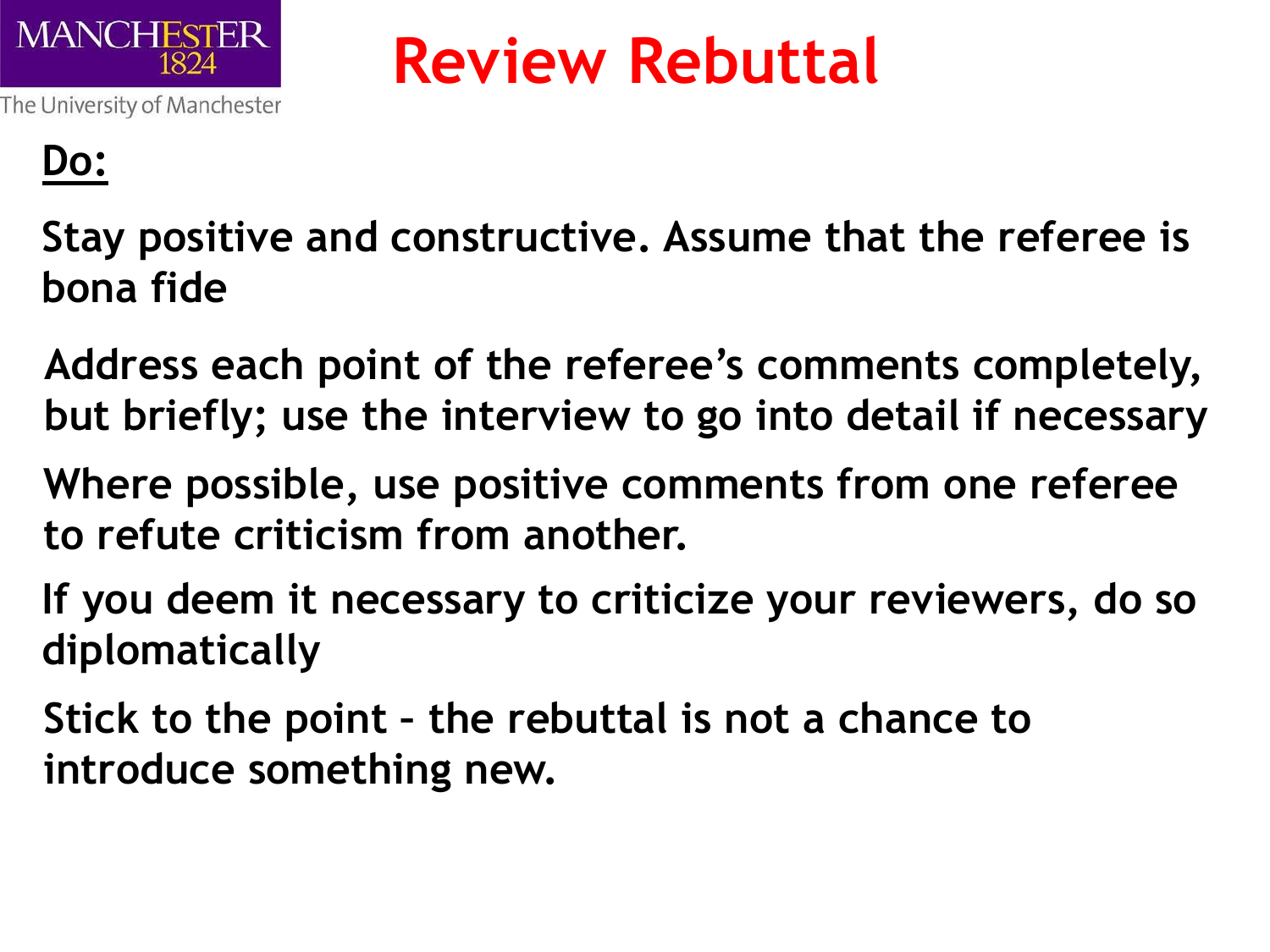

### **Review Rebuttal**

#### **Do:**

- **Stay positive and constructive. Assume that the referee is bona fide**
- **Address each point of the referee's comments completely, but briefly; use the interview to go into detail if necessary**
- **Where possible, use positive comments from one referee to refute criticism from another.**
- **If you deem it necessary to criticize your reviewers, do so diplomatically**
- **Stick to the point – the rebuttal is not a chance to introduce something new.**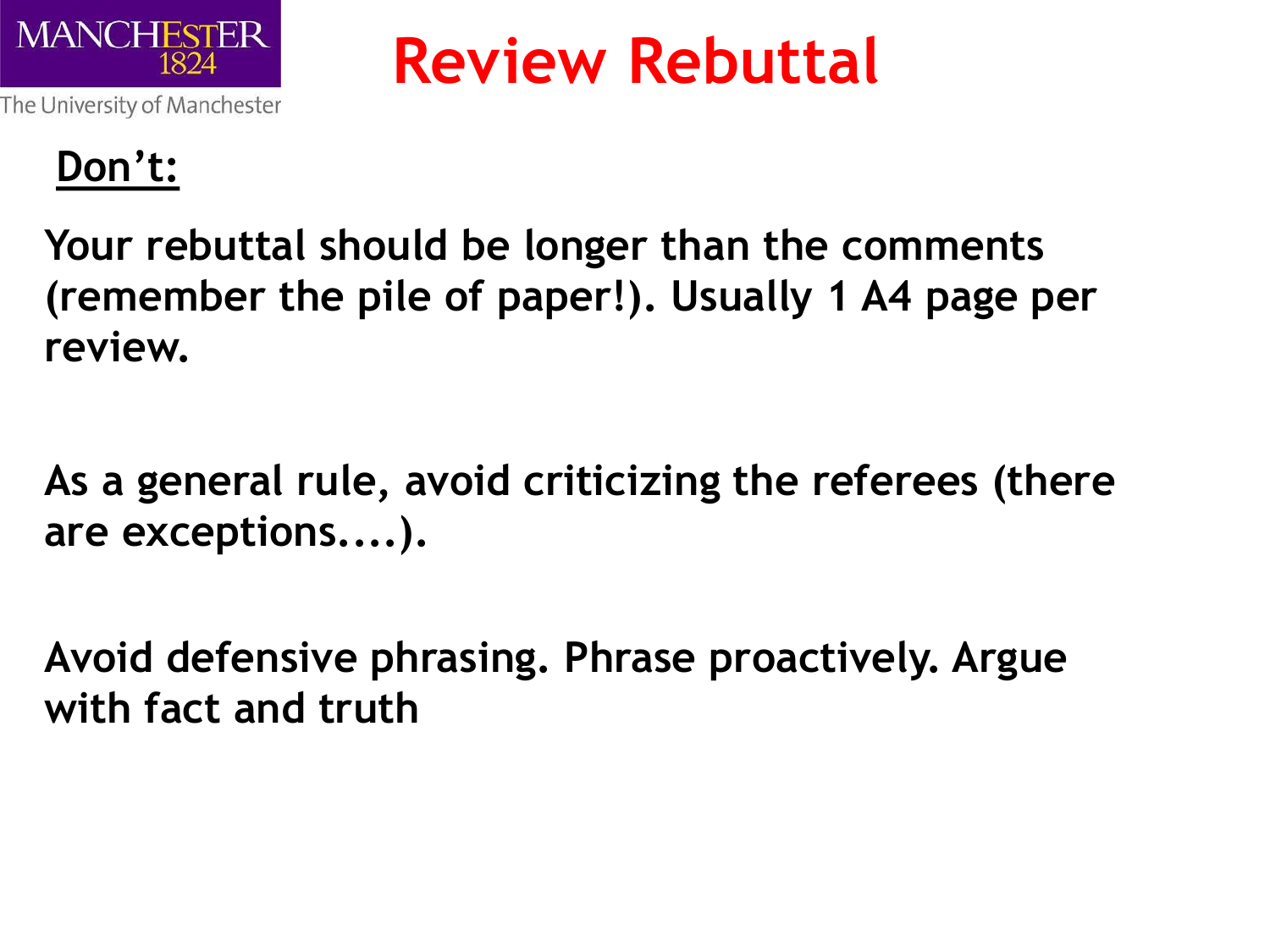

**Review Rebuttal**

The University of Manchester

#### **Don't:**

**Your rebuttal should be longer than the comments (remember the pile of paper!). Usually 1 A4 page per review.**

**As a general rule, avoid criticizing the referees (there are exceptions....).**

**Avoid defensive phrasing. Phrase proactively. Argue with fact and truth**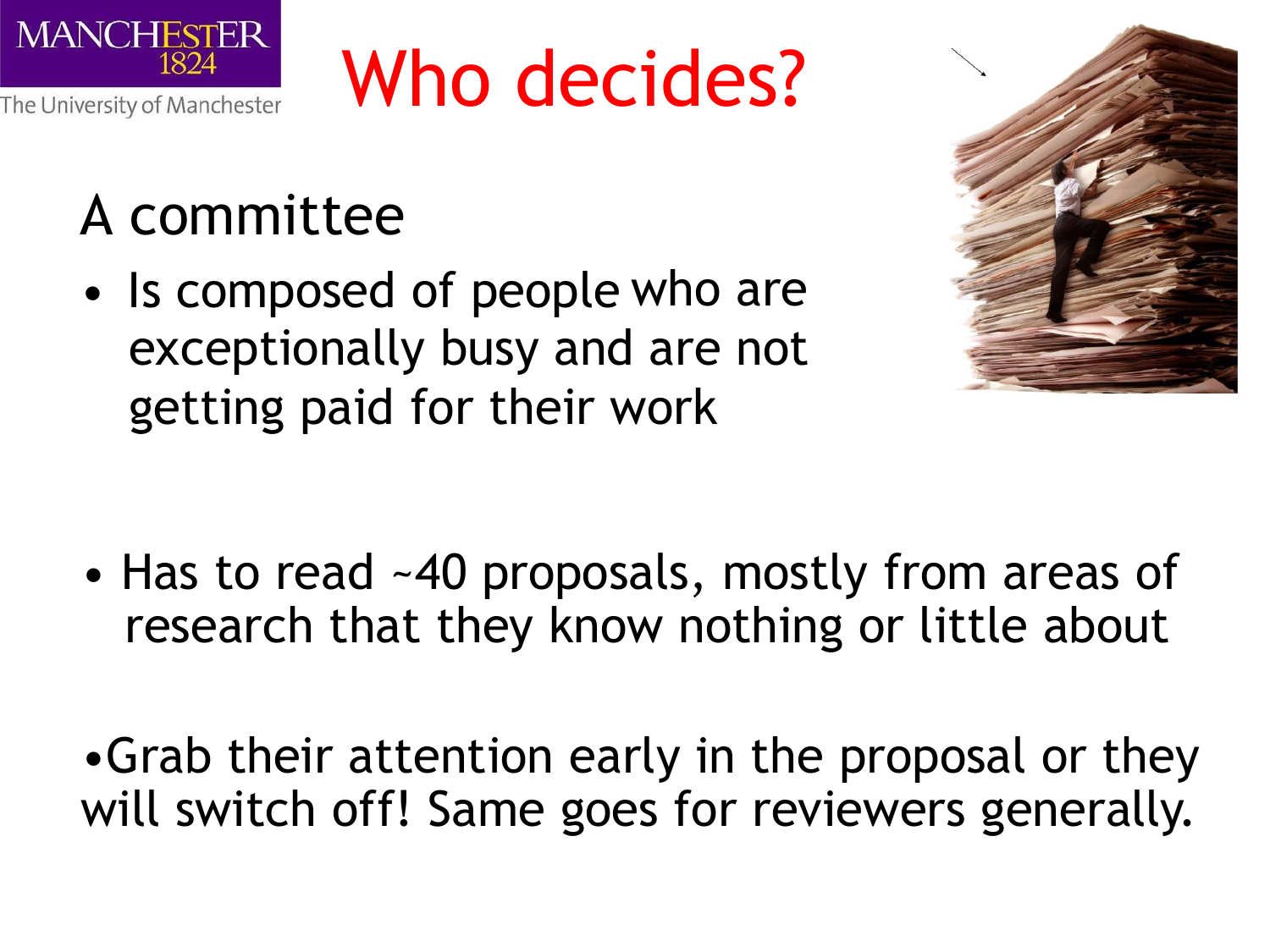

## Who decides?

### A committee

• Is composed of people who are exceptionally busy and are not getting paid for their work



• Has to read ~40 proposals, mostly from areas of research that they know nothing or little about

•Grab their attention early in the proposal or they will switch off! Same goes for reviewers generally.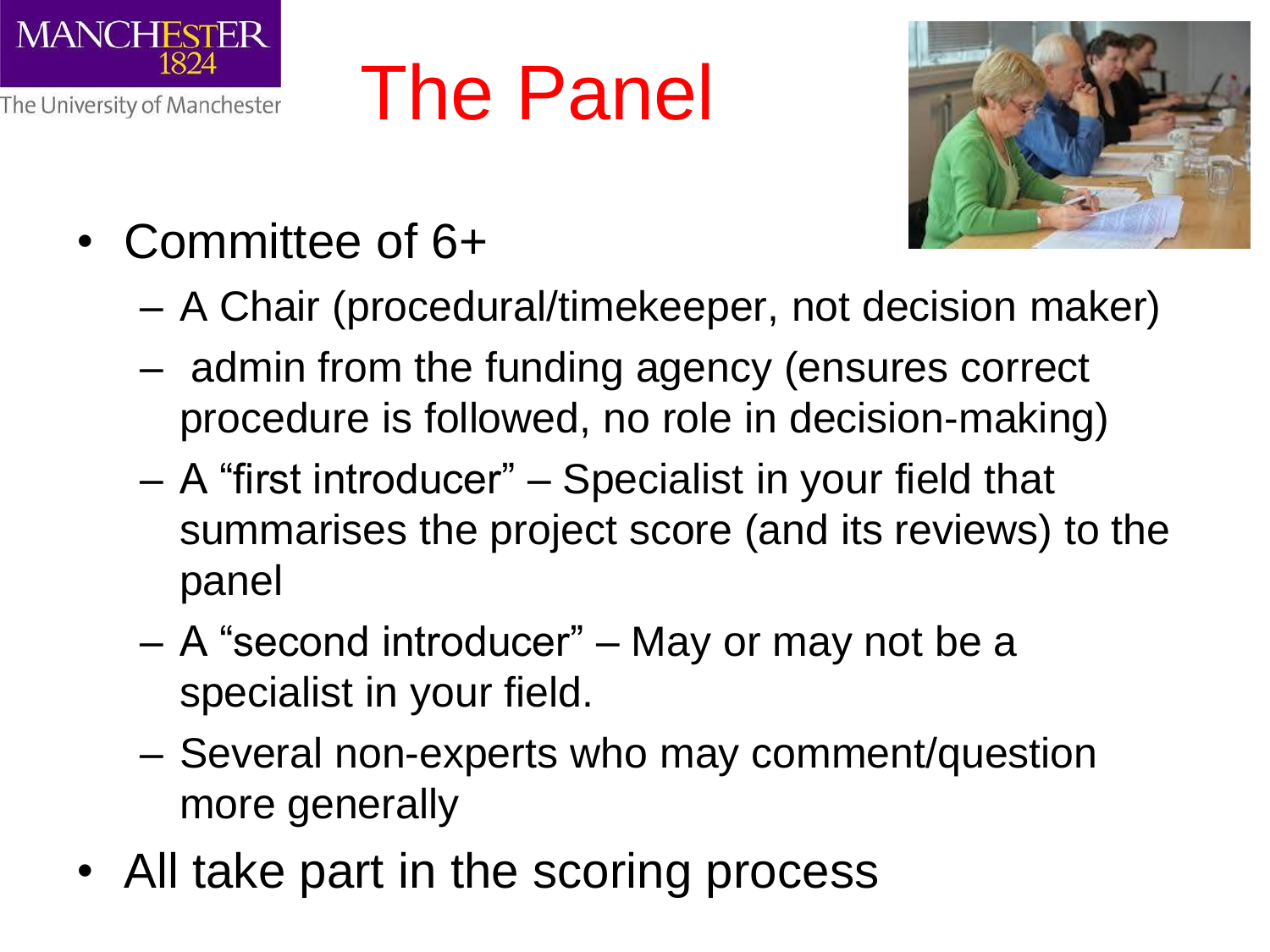

The Panel



- Committee of 6+
	- A Chair (procedural/timekeeper, not decision maker)
	- admin from the funding agency (ensures correct procedure is followed, no role in decision-making)
	- A "first introducer" Specialist in your field that summarises the project score (and its reviews) to the panel
	- A "second introducer" May or may not be a specialist in your field.
	- Several non-experts who may comment/question more generally
- All take part in the scoring process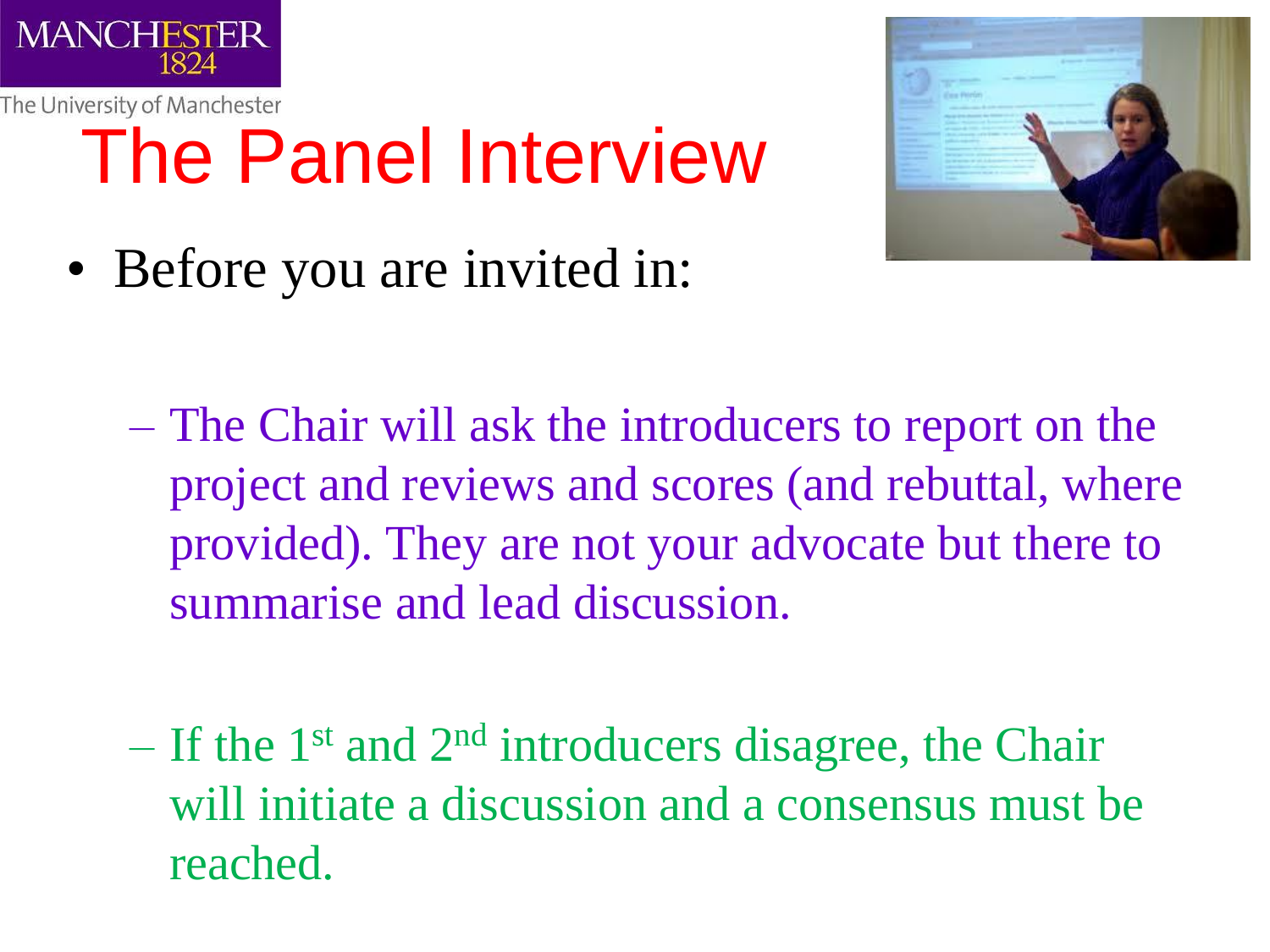

## The Panel Interview



- Before you are invited in:
	- The Chair will ask the introducers to report on the project and reviews and scores (and rebuttal, where provided). They are not your advocate but there to summarise and lead discussion.
	- $-$  If the 1<sup>st</sup> and 2<sup>nd</sup> introducers disagree, the Chair will initiate a discussion and a consensus must be reached.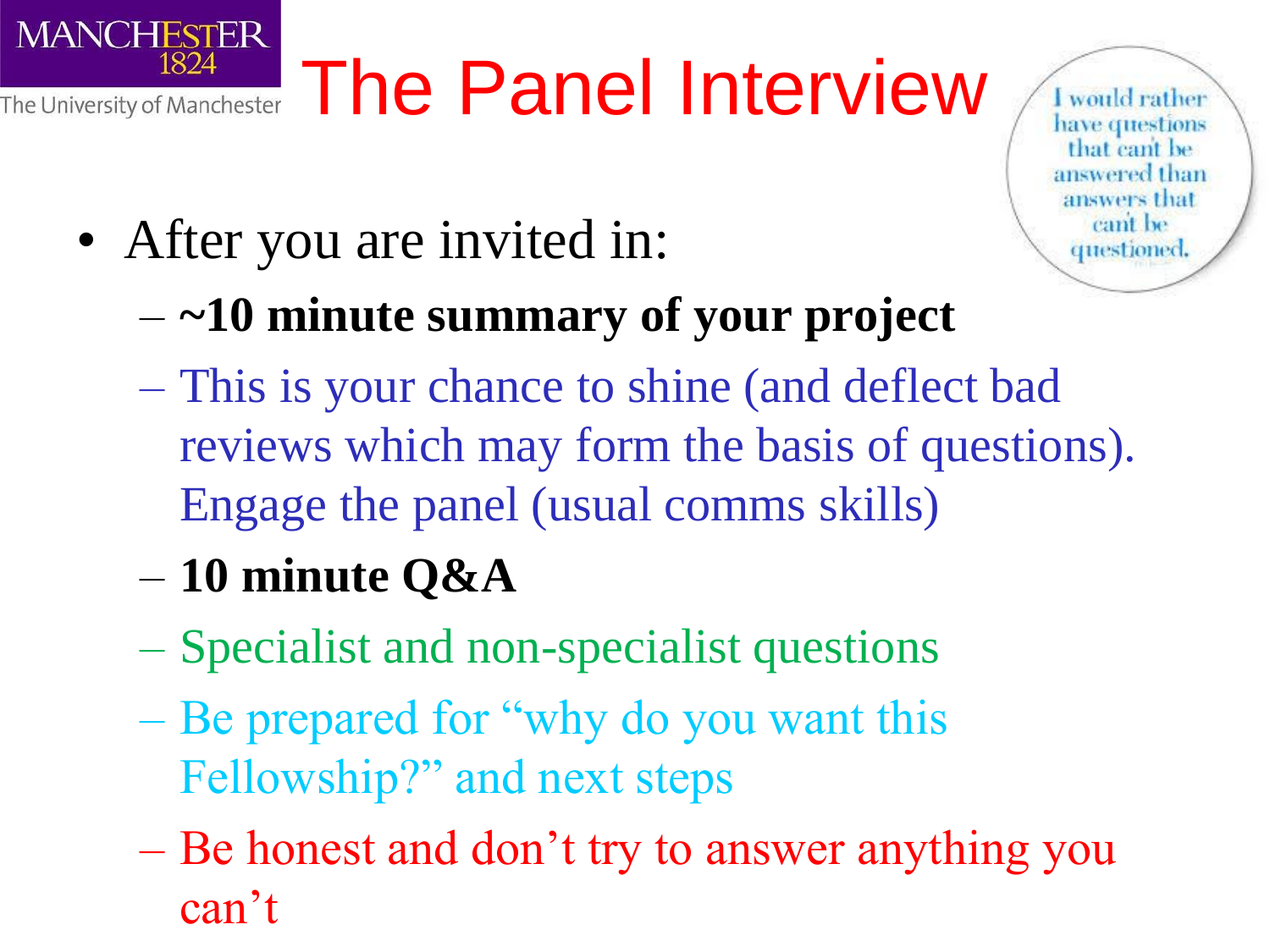# The University of Manchester The Panel Interview

would rather have questions that cant be answered than answers that cant be questioned

• After you are invited in:

**MANCHESTER** 

1824

- **~10 minute summary of your project**
- This is your chance to shine (and deflect bad reviews which may form the basis of questions). Engage the panel (usual comms skills)
- **10 minute Q&A**
- Specialist and non-specialist questions
- Be prepared for "why do you want this Fellowship?" and next steps
- Be honest and don't try to answer anything you can't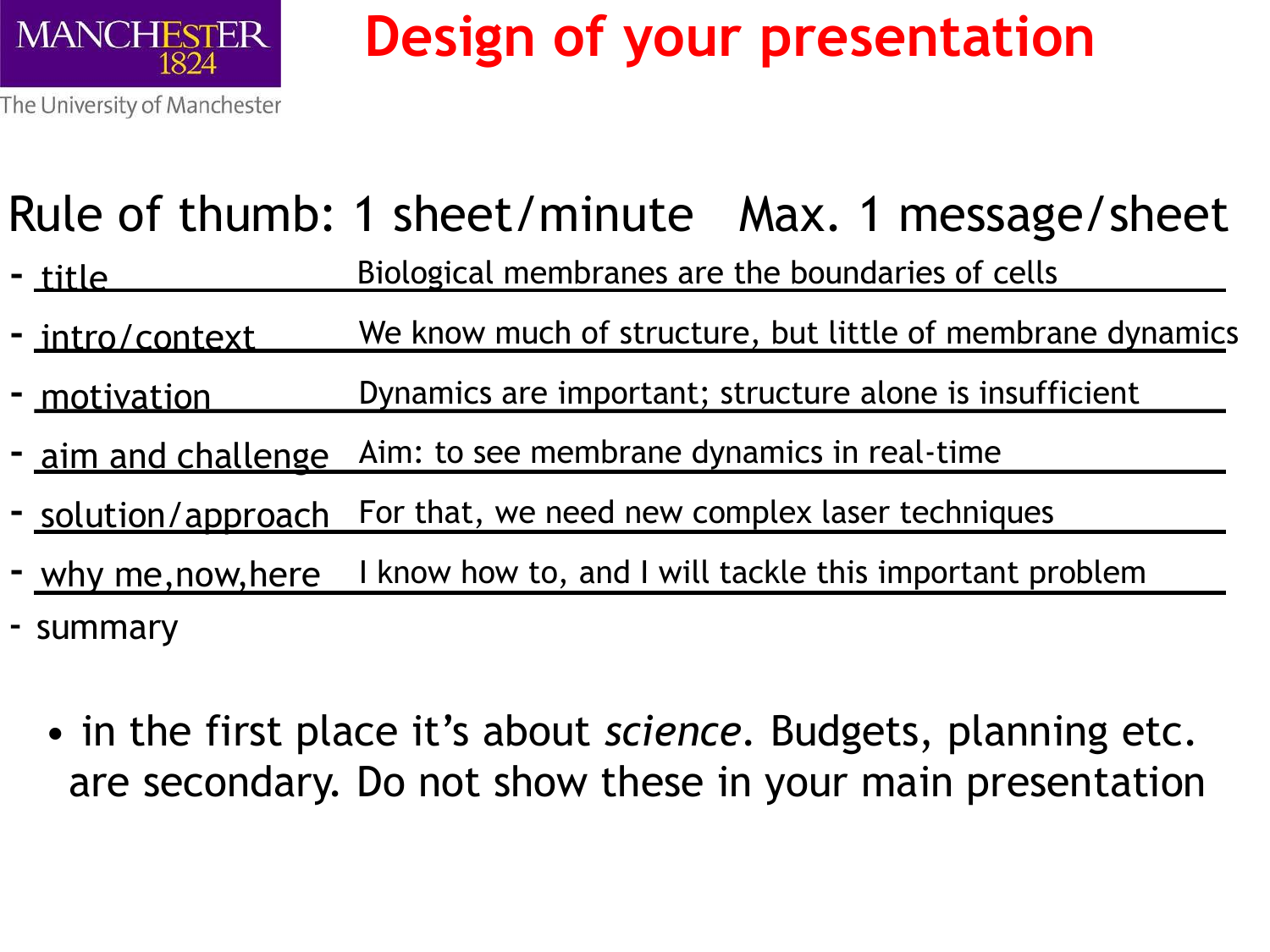

### **Design of your presentation**

The University of Manchester

#### Rule of thumb: 1 sheet/minute Max. 1 message/sheet

- title Biological membranes are the boundaries of cells
- intro/context We know much of structure, but little of membrane dynamics
- motivation Dynamics are important; structure alone is insufficient
- aim and challenge Aim: to see membrane dynamics in real-time
- solution/approach For that, we need new complex laser techniques
- why me, now, here I know how to, and I will tackle this important problem
- summary
	- in the first place it's about *science.* Budgets, planning etc. are secondary. Do not show these in your main presentation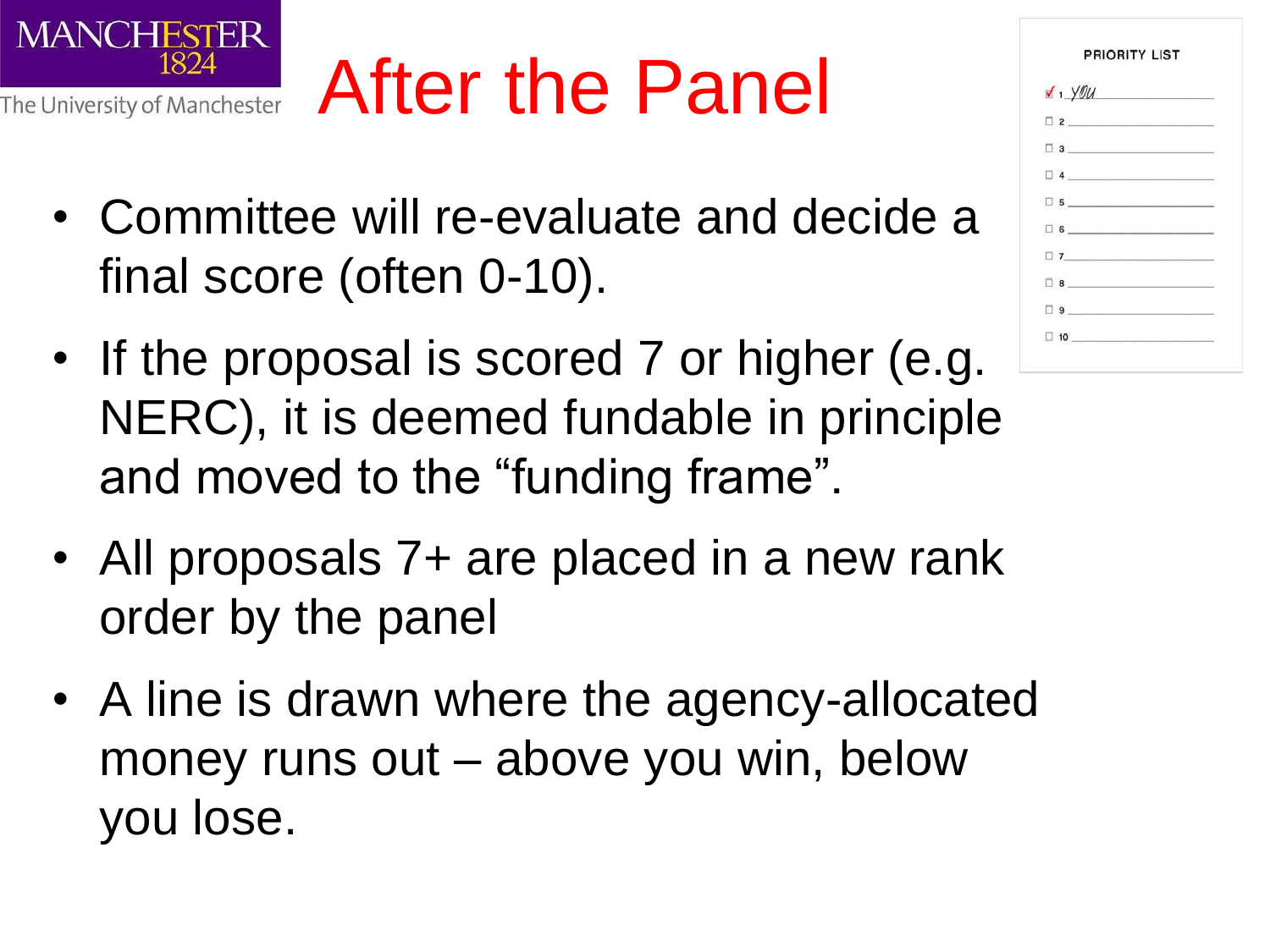

## After the Panel

- Committee will re-evaluate and decide a final score (often 0-10).
- If the proposal is scored 7 or higher (e.g. NERC), it is deemed fundable in principle and moved to the "funding frame".
- All proposals 7+ are placed in a new rank order by the panel
- A line is drawn where the agency-allocated money runs out – above you win, below you lose.

|           | PRIORITY LIST |                                                                                                                                                                                                                                                                                                                                                                                                                                      |
|-----------|---------------|--------------------------------------------------------------------------------------------------------------------------------------------------------------------------------------------------------------------------------------------------------------------------------------------------------------------------------------------------------------------------------------------------------------------------------------|
|           |               | $\sqrt{1 + \frac{1}{\sqrt{1 + \frac{1}{\sqrt{1 + \frac{1}{\sqrt{1 + \frac{1}{\sqrt{1 + \frac{1}{\sqrt{1 + \frac{1}{\sqrt{1 + \frac{1}{\sqrt{1 + \frac{1}{\sqrt{1 + \frac{1}{\sqrt{1 + \frac{1}{\sqrt{1 + \frac{1}{\sqrt{1 + \frac{1}{\sqrt{1 + \frac{1}{\sqrt{1 + \frac{1}{\sqrt{1 + \frac{1}{\sqrt{1 + \frac{1}{\sqrt{1 + \frac{1}{\sqrt{1 + \frac{1}{\sqrt{1 + \frac{1}{\sqrt{1 + \frac{1}{\sqrt{1 + \frac{1}{\sqrt{1 + \frac{1}{$ |
|           |               | $\Box$ 2                                                                                                                                                                                                                                                                                                                                                                                                                             |
|           |               | $\Box$ 3                                                                                                                                                                                                                                                                                                                                                                                                                             |
|           |               | $\begin{array}{c c c c c} \hline \rule{0pt}{16pt} \rule{0pt}{2.5ex} \rule{0pt}{2.5ex} \rule{0pt}{2.5ex} \rule{0pt}{2.5ex} \rule{0pt}{2.5ex} \rule{0pt}{2.5ex} \rule{0pt}{2.5ex} \rule{0pt}{2.5ex} \rule{0pt}{2.5ex} \rule{0pt}{2.5ex} \rule{0pt}{2.5ex} \rule{0pt}{2.5ex} \rule{0pt}{2.5ex} \rule{0pt}{2.5ex} \rule{0pt}{2.5ex} \rule{0pt}{2.5ex} \rule{0pt}{2.5ex} \rule{0pt$                                                       |
|           |               | $\Box$ 5                                                                                                                                                                                                                                                                                                                                                                                                                             |
|           |               | $\Box$ 6                                                                                                                                                                                                                                                                                                                                                                                                                             |
|           |               |                                                                                                                                                                                                                                                                                                                                                                                                                                      |
| $\Box$ 8  |               |                                                                                                                                                                                                                                                                                                                                                                                                                                      |
|           |               | $\begin{tabular}{ c c c c } \hline \quad & \quad & \quad & \quad & \quad & \quad & \quad & \quad & \quad \\ \hline \quad \  & \quad & \quad & \quad & \quad & \quad & \quad & \quad & \quad & \quad \\ \hline \quad \  & \quad & \quad & \quad & \quad & \quad & \quad & \quad & \quad \\ \hline \end{tabular}$                                                                                                                      |
| $\Box$ 10 |               |                                                                                                                                                                                                                                                                                                                                                                                                                                      |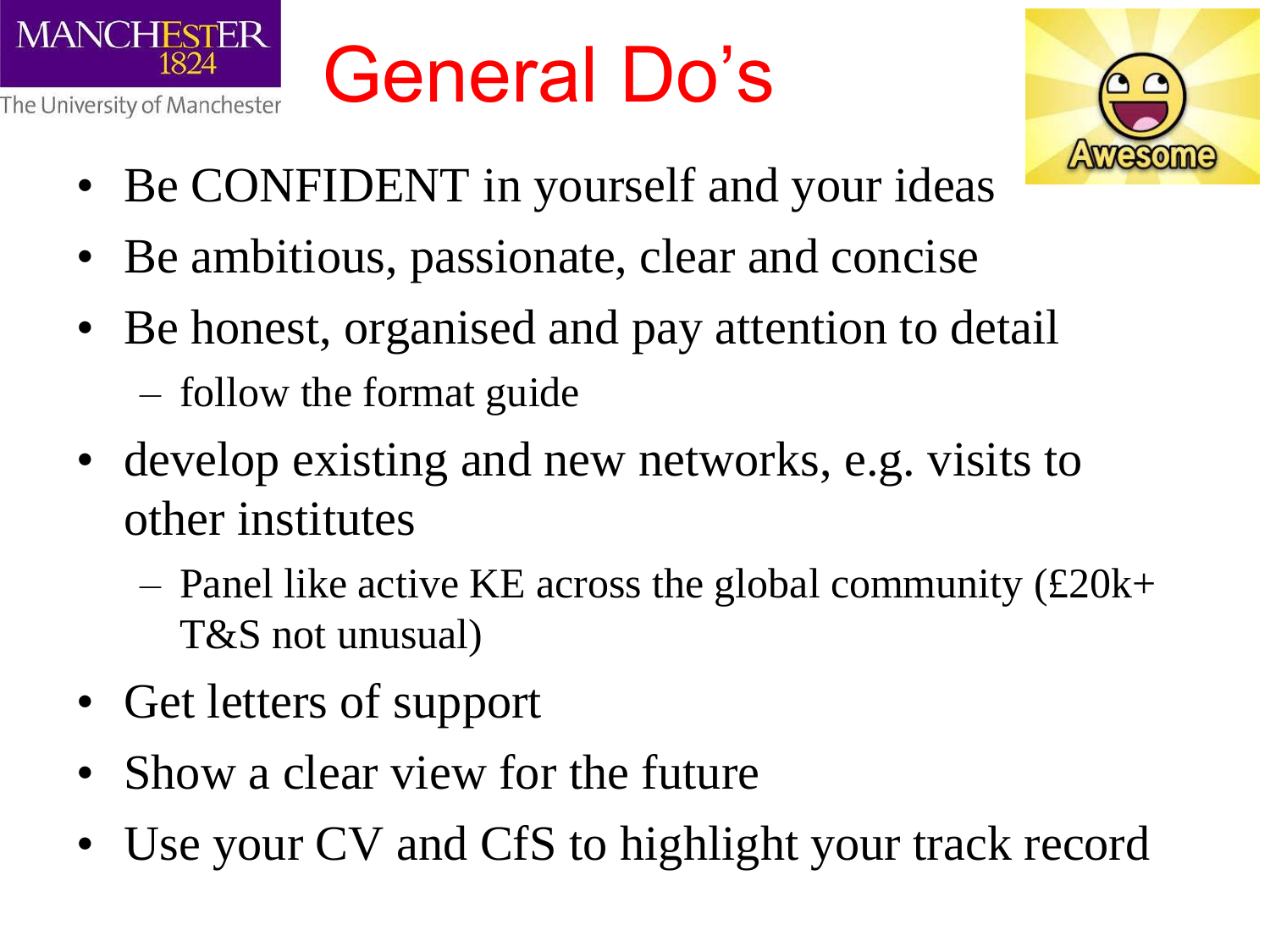

## General Do's



- Be CONFIDENT in yourself and your ideas
- Be ambitious, passionate, clear and concise
- Be honest, organised and pay attention to detail
	- follow the format guide
- develop existing and new networks, e.g. visits to other institutes
	- Panel like active KE across the global community  $(\text{\pounds}20k+$ T&S not unusual)
- Get letters of support
- Show a clear view for the future
- Use your CV and CfS to highlight your track record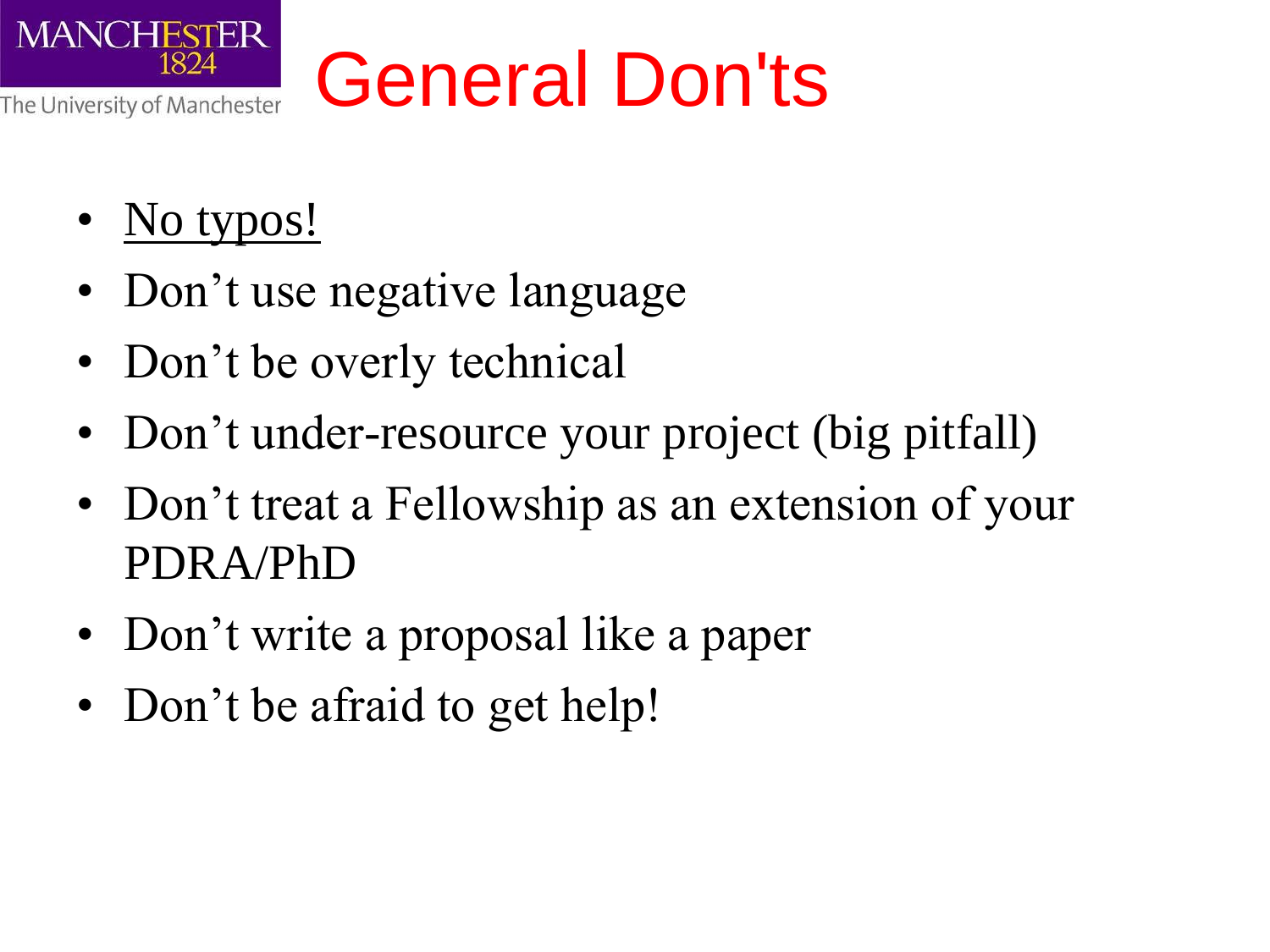

## General Don'ts

- No typos!
- Don't use negative language
- Don't be overly technical
- Don't under-resource your project (big pitfall)
- Don't treat a Fellowship as an extension of your PDRA/PhD
- Don't write a proposal like a paper
- Don't be afraid to get help!